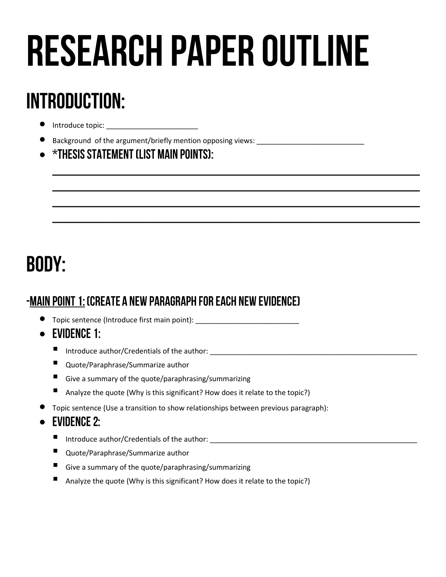# **RESEARCH PAPER OUTLINE**

# **INTRODUCTION:**

- Introduce topic: \_\_\_\_\_\_\_\_\_\_\_\_\_\_\_\_\_\_\_\_\_\_\_
- $\bullet$  Background of the argument/briefly mention opposing views:
- $\bullet$  \*Thesis statement (list main points):

# **BODY:**

## -MAIN POINT 1: (CREATE A NEW PARAGRAPH FOR EACH NEW EVIDENCE)

- Topic sentence (Introduce first main point):
- $\bullet$  EVIDENCE 1:
	- Introduce author/Credentials of the author: \_\_\_\_\_\_\_\_\_\_\_\_\_\_\_\_\_\_\_\_\_\_\_\_\_\_\_\_\_\_\_\_\_\_
	- Quote/Paraphrase/Summarize author
	- Give a summary of the quote/paraphrasing/summarizing
	- Analyze the quote (Why is this significant? How does it relate to the topic?)
- Topic sentence (Use a transition to show relationships between previous paragraph):

### $\bullet$ **EVIDENCE 2:**

- Introduce author/Credentials of the author: \_\_\_\_\_\_\_\_\_\_\_\_\_\_\_\_\_\_\_\_\_\_\_\_\_\_\_\_\_\_\_\_\_\_\_\_\_\_\_\_\_\_\_\_\_\_\_\_\_\_\_\_
- Quote/Paraphrase/Summarize author
- Give a summary of the quote/paraphrasing/summarizing
- Analyze the quote (Why is this significant? How does it relate to the topic?)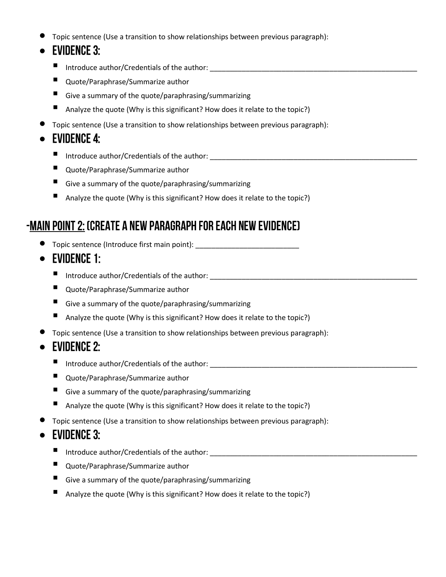Topic sentence (Use a transition to show relationships between previous paragraph):

#### $\bullet$ **EVIDENCE 3:**

- Introduce author/Credentials of the author: \_\_\_\_\_\_\_\_\_\_\_\_\_\_\_\_\_\_\_\_\_\_\_\_\_\_\_\_\_\_\_\_\_\_
- Quote/Paraphrase/Summarize author
- Give a summary of the quote/paraphrasing/summarizing
- Analyze the quote (Why is this significant? How does it relate to the topic?)
- Topic sentence (Use a transition to show relationships between previous paragraph):

## $\bullet$  EVIDENCE 4:

- Introduce author/Credentials of the author: \_\_\_\_\_\_\_\_\_\_\_\_\_\_\_\_\_\_\_\_\_\_\_\_\_\_\_\_\_\_\_\_\_\_\_\_\_\_\_\_\_\_\_\_\_\_\_\_\_\_\_\_
- Quote/Paraphrase/Summarize author
- Give a summary of the quote/paraphrasing/summarizing
- Analyze the quote (Why is this significant? How does it relate to the topic?)

## -MAIN POINT 2: (CREATE A NEW PARAGRAPH FOR EACH NEW EVIDENCE)

- Topic sentence (Introduce first main point): \_\_\_\_\_\_\_\_\_\_\_\_\_\_\_\_\_\_\_\_\_\_\_\_\_\_\_\_\_\_\_\_\_\_\_
- $\bullet$  EVIDENCE 1:
	- Introduce author/Credentials of the author: \_\_\_\_\_\_\_\_\_\_\_\_\_\_\_\_\_\_\_\_\_\_\_\_\_\_\_\_\_\_\_\_\_\_
	- Quote/Paraphrase/Summarize author
	- Give a summary of the quote/paraphrasing/summarizing
	- Analyze the quote (Why is this significant? How does it relate to the topic?)
- Topic sentence (Use a transition to show relationships between previous paragraph):

#### $\bullet$ **EVIDENCE 2:**

- Introduce author/Credentials of the author: \_\_\_\_\_\_\_\_\_\_\_\_\_\_\_\_\_\_\_\_\_\_\_\_\_\_\_\_\_\_\_\_\_\_\_\_\_\_\_\_\_\_\_\_\_\_\_\_\_\_\_\_
- Quote/Paraphrase/Summarize author
- Give a summary of the quote/paraphrasing/summarizing
- Analyze the quote (Why is this significant? How does it relate to the topic?)
- Topic sentence (Use a transition to show relationships between previous paragraph):

#### $\bullet$ **EVIDENCE 3:**

- Introduce author/Credentials of the author:
- Quote/Paraphrase/Summarize author
- Give a summary of the quote/paraphrasing/summarizing
- Analyze the quote (Why is this significant? How does it relate to the topic?)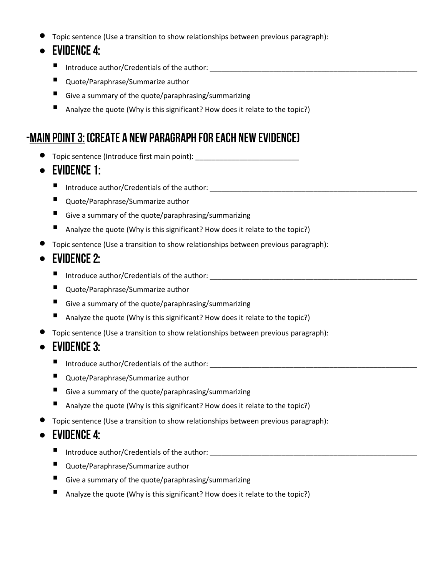Topic sentence (Use a transition to show relationships between previous paragraph):

#### $\bullet$ **EVIDENCE 4:**

- Introduce author/Credentials of the author: \_\_\_\_\_\_\_\_\_\_\_\_\_\_\_\_\_\_\_\_\_\_\_\_\_\_\_\_\_\_\_\_\_\_
- Quote/Paraphrase/Summarize author
- Give a summary of the quote/paraphrasing/summarizing
- Analyze the quote (Why is this significant? How does it relate to the topic?)

## -MAIN POINT 3: (CREATE A NEW PARAGRAPH FOR EACH NEW EVIDENCE)

- Topic sentence (Introduce first main point): \_\_\_\_\_\_\_\_\_\_\_\_\_\_\_\_\_\_\_\_\_\_\_\_\_\_\_\_\_\_\_\_\_\_\_
- EVIDENCE 1:
	- Introduce author/Credentials of the author: \_\_\_\_\_\_\_\_\_\_\_\_\_\_\_\_\_\_\_\_\_\_\_\_\_\_\_\_\_\_\_\_\_\_
	- Quote/Paraphrase/Summarize author
	- Give a summary of the quote/paraphrasing/summarizing
	- Analyze the quote (Why is this significant? How does it relate to the topic?)
- Topic sentence (Use a transition to show relationships between previous paragraph):

#### $\bullet$ **EVIDENCE 2:**

- Introduce author/Credentials of the author:
- Quote/Paraphrase/Summarize author
- Give a summary of the quote/paraphrasing/summarizing
- Analyze the quote (Why is this significant? How does it relate to the topic?)
- Topic sentence (Use a transition to show relationships between previous paragraph):

#### $\bullet$ **EVIDENCE 3:**

- Introduce author/Credentials of the author: \_\_\_\_\_\_\_\_\_\_\_\_\_\_\_\_\_\_\_\_\_\_\_\_\_\_\_\_\_\_\_\_\_\_\_\_\_\_\_\_\_\_\_\_\_\_\_\_\_\_\_\_
- Quote/Paraphrase/Summarize author
- Give a summary of the quote/paraphrasing/summarizing
- Analyze the quote (Why is this significant? How does it relate to the topic?)
- Topic sentence (Use a transition to show relationships between previous paragraph):

#### $\bullet$ **EVIDENCE 4:**

- Introduce author/Credentials of the author:
- Quote/Paraphrase/Summarize author
- Give a summary of the quote/paraphrasing/summarizing
- Analyze the quote (Why is this significant? How does it relate to the topic?)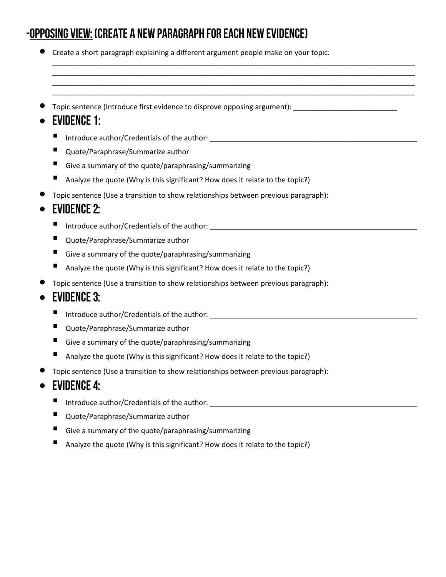## -OPPOSING VIEW: (CREATE A NEW PARAGRAPH FOR EACH NEW EVIDENCE)

Create a short paragraph explaining a different argument people make on your topic:

\_\_\_\_\_\_\_\_\_\_\_\_\_\_\_\_\_\_\_\_\_\_\_\_\_\_\_\_\_\_\_\_\_\_\_\_\_\_\_\_\_\_\_\_\_\_\_\_\_\_\_\_\_\_\_\_\_\_\_\_\_\_\_\_\_\_\_\_\_\_\_\_\_\_\_\_\_\_\_\_\_\_\_\_\_\_\_\_\_\_\_ \_\_\_\_\_\_\_\_\_\_\_\_\_\_\_\_\_\_\_\_\_\_\_\_\_\_\_\_\_\_\_\_\_\_\_\_\_\_\_\_\_\_\_\_\_\_\_\_\_\_\_\_\_\_\_\_\_\_\_\_\_\_\_\_\_\_\_\_\_\_\_\_\_\_\_\_\_\_\_\_\_\_\_\_\_\_\_\_\_\_\_ \_\_\_\_\_\_\_\_\_\_\_\_\_\_\_\_\_\_\_\_\_\_\_\_\_\_\_\_\_\_\_\_\_\_\_\_\_\_\_\_\_\_\_\_\_\_\_\_\_\_\_\_\_\_\_\_\_\_\_\_\_\_\_\_\_\_\_\_\_\_\_\_\_\_\_\_\_\_\_\_\_\_\_\_\_\_\_\_\_\_\_ \_\_\_\_\_\_\_\_\_\_\_\_\_\_\_\_\_\_\_\_\_\_\_\_\_\_\_\_\_\_\_\_\_\_\_\_\_\_\_\_\_\_\_\_\_\_\_\_\_\_\_\_\_\_\_\_\_\_\_\_\_\_\_\_\_\_\_\_\_\_\_\_\_\_\_\_\_\_\_\_\_\_\_\_\_\_\_\_\_\_\_

Topic sentence (Introduce first evidence to disprove opposing argument): \_\_\_\_\_\_\_\_\_\_\_\_\_\_\_\_\_\_\_\_\_\_\_\_\_\_

## $\bullet$  EVIDENCE 1:

- Introduce author/Credentials of the author: \_\_\_\_\_\_\_\_\_\_\_\_\_\_\_\_\_\_\_\_\_\_\_\_\_\_\_\_\_\_\_\_\_\_
- Quote/Paraphrase/Summarize author
- Give a summary of the quote/paraphrasing/summarizing
- Analyze the quote (Why is this significant? How does it relate to the topic?)
- Topic sentence (Use a transition to show relationships between previous paragraph):

#### $\bullet$ **EVIDENCE 2:**

- Introduce author/Credentials of the author: \_\_\_\_\_\_\_\_\_\_\_\_\_\_\_\_\_\_\_\_\_\_\_\_\_\_\_\_\_\_\_\_\_\_\_\_\_\_\_\_\_\_\_\_\_\_\_\_\_\_\_\_
- Quote/Paraphrase/Summarize author
- Give a summary of the quote/paraphrasing/summarizing
- Analyze the quote (Why is this significant? How does it relate to the topic?)
- Topic sentence (Use a transition to show relationships between previous paragraph):

## $\bullet$  EVIDENCE 3:

- Introduce author/Credentials of the author:
- Quote/Paraphrase/Summarize author
- Give a summary of the quote/paraphrasing/summarizing
- Analyze the quote (Why is this significant? How does it relate to the topic?)
- Topic sentence (Use a transition to show relationships between previous paragraph):

## $\bullet$  EVIDENCE 4:

- Introduce author/Credentials of the author: \_\_\_\_\_\_\_\_\_\_\_\_\_\_\_\_\_\_\_\_\_\_\_\_\_\_\_\_\_\_\_\_\_\_\_\_\_\_\_\_\_\_\_\_\_\_\_\_\_\_\_\_
- Quote/Paraphrase/Summarize author
- Give a summary of the quote/paraphrasing/summarizing
- Analyze the quote (Why is this significant? How does it relate to the topic?)